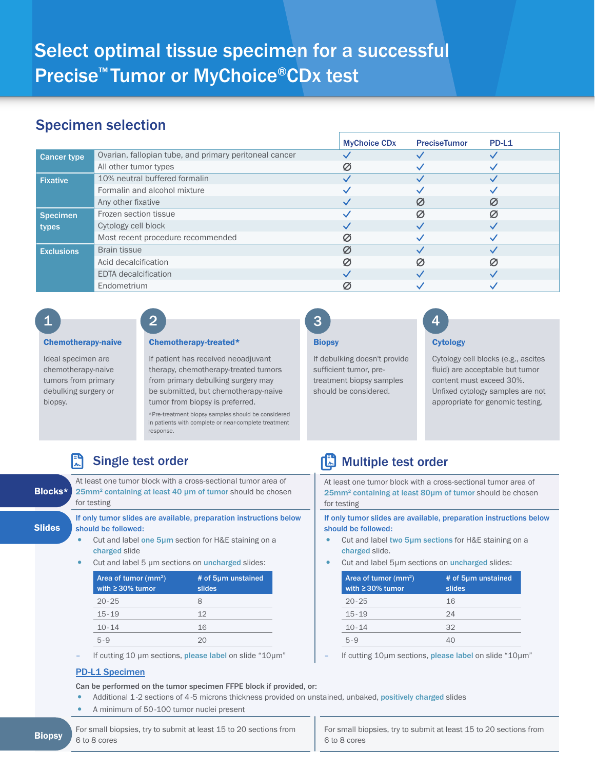## Specimen selection

|                    |                                                        | <b>MyChoice CDx</b> | <b>PreciseTumor</b> | PD-L1 |
|--------------------|--------------------------------------------------------|---------------------|---------------------|-------|
| <b>Cancer type</b> | Ovarian, fallopian tube, and primary peritoneal cancer |                     |                     |       |
|                    | All other tumor types                                  | Ø                   |                     |       |
| <b>Fixative</b>    | 10% neutral buffered formalin                          |                     |                     |       |
|                    | Formalin and alcohol mixture                           |                     |                     |       |
|                    | Any other fixative                                     |                     |                     | S     |
| <b>Specimen</b>    | Frozen section tissue                                  |                     | Ø                   | Ø     |
| types              | Cytology cell block                                    |                     |                     |       |
|                    | Most recent procedure recommended                      | Ø                   |                     |       |
| <b>Exclusions</b>  | <b>Brain tissue</b>                                    | Ø                   |                     |       |
|                    | Acid decalcification                                   | Ø                   | Ø                   |       |
|                    | <b>EDTA</b> decalcification                            |                     |                     |       |
|                    | Endometrium                                            | Ø.                  |                     |       |

# $\begin{array}{|c|c|c|c|c|}\n\hline\n1 & 2 & 3 & 4 \\
\hline\n\end{array}$

Ideal specimen are chemotherapy-naive tumors from primary debulking surgery or biopsy.

#### Chemotherapy-naive Cytology Chemotherapy-treated\*

If patient has received neoadjuvant therapy, chemotherapy-treated tumors from primary debulking surgery may be submitted, but chemotherapy-naive tumor from biopsy is preferred.

\*Pre-treatment biopsy samples should be considered in patients with complete or near-complete treatment response.

# R

At least one tumor block with a cross-sectional tumor area of 25mm<sup>2</sup> containing at least 40 µm of tumor should be chosen for testing

If only tumor slides are available, preparation instructions below should be followed:

- Cut and label one 5µm section for H&E staining on a charged slide
- Cut and label 5 µm sections on *uncharged* slides:

| Area of tumor (mm <sup>2</sup> )<br>with $\geq$ 30% tumor | # of 5µm unstained<br>slides |
|-----------------------------------------------------------|------------------------------|
| $20 - 25$                                                 | 8                            |
| $15 - 19$                                                 | 12                           |
| $10 - 14$                                                 | 16                           |
| 5.9                                                       |                              |

If cutting 10 µm sections, please label on slide "10µm"

### PD-L1 Specimen

Can be performed on the tumor specimen FFPE block if provided, or:

- Additional 1-2 sections of 4-5 microns thickness provided on unstained, unbaked, positively charged slides
- A minimum of 50-100 tumor nuclei present

**Biopsy** For small biopsies, try to submit at least 15 to 20 sections from For small biopsies 6 to 8 cores 6 to 8 cores

### **Biopsy**

3

If debulking doesn't provide sufficient tumor, pretreatment biopsy samples should be considered.

Cytology cell blocks (e.g., ascites fluid) are acceptable but tumor content must exceed 30%. Unfixed cytology samples are not appropriate for genomic testing.

# Single test order Multiple test order Multiple test order

At least one tumor block with a cross-sectional tumor area of 25mm2 containing at least 80µm of tumor should be chosen for testing

If only tumor slides are available, preparation instructions below should be followed:

- Cut and label two 5µm sections for H&E staining on a charged slide.
- Cut and label 5µm sections on *uncharged* slides:

| Area of tumor (mm <sup>2</sup> )<br>with $\geq$ 30% tumor | # of 5µm unstained<br>slides |
|-----------------------------------------------------------|------------------------------|
| $20 - 25$                                                 | 16                           |
| $15 - 19$                                                 | 24                           |
| $10 - 14$                                                 | 32                           |
| $5 - 9$                                                   |                              |

If cutting 10µm sections, please label on slide "10µm"

For small biopsies, try to submit at least 15 to 20 sections from

**Slides** 

Blocks\*